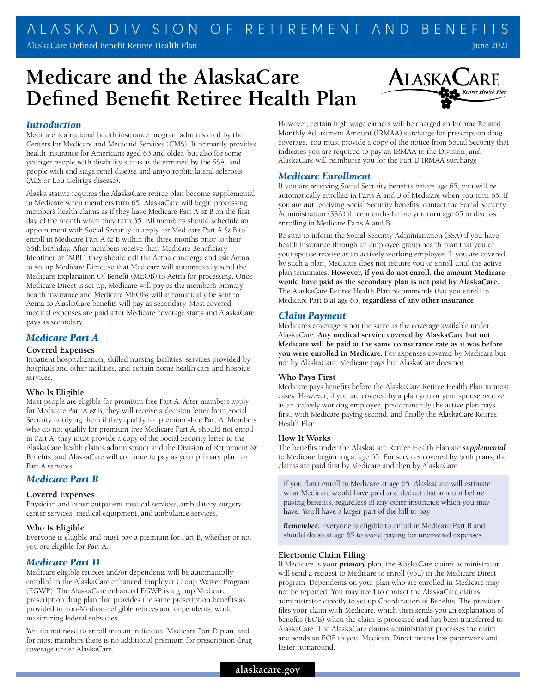# **Medicare and the AlaskaCare Defined Benefit Retiree Health Plan**



## *Introduction*

Medicare is a national health insurance program administered by the Centers for Medicare and Medicaid Services (CMS). It primarily provides health insurance for Americans aged 65 and older, but also for some younger people with disability status as determined by the SSA, and people with end stage renal disease and amyotrophic lateral sclerosis (ALS or Lou Gehrig's disease).

Alaska statute requires the AlaskaCare retiree plan become supplemental to Medicare when members turn 65. AlaskaCare will begin processing member's health claims as if they have Medicare Part A & B on the first day of the month when they turn 65. All members should schedule an appointment with Social Security to apply for Medicare Part A & B to enroll in Medicare Part A & B within the three months prior to their 65th birthday. After members receive their Medicare Beneficiary Identifier or "MBI", they should call the Aetna concierge and ask Aetna to set up Medicare Direct so that Medicare will automatically send the Medicare Explanation Of Benefit (MEOB) to Aetna for processing. Once Medicare Direct is set up, Medicare will pay as the member's primary health insurance and Medicare MEOBs will automatically be sent to Aetna so AlaskaCare benefits will pay as secondary. Most covered medical expenses are paid after Medicare coverage starts and AlaskaCare pays as secondary.

# *Medicare Part A*

## **Covered Expenses**

Inpatient hospitalization, skilled nursing facilities, services provided by hospitals and other facilities, and certain home health care and hospice services.

## **Who Is Eligible**

Most people are eligible for premium-free Part A. After members apply for Medicare Part A & B, they will receive a decision letter from Social Security notifying them if they qualify for premium-free Part A. Members who do not qualify for premium-free Medicare Part A, should not enroll in Part A, they must provide a copy of the Social Security letter to the AlaskaCare health claims administrator and the Division of Retirement & Benefits, and AlaskaCare will continue to pay as your primary plan for Part A services.

# *Medicare Part B*

#### **Covered Expenses**

Physician and other outpatient medical services, ambulatory surgery center services, medical equipment, and ambulance services.

## **Who Is Eligible**

Everyone is eligible and must pay a premium for Part B, whether or not you are eligible for Part A.

## *Medicare Part D*

Medicare eligible retirees and/or dependents will be automatically enrolled in the AlaskaCare enhanced Employer Group Waiver Program (EGWP). The AlaskaCare enhanced EGWP is a group Medicare prescription drug plan that provides the same prescription benefits as provided to non-Medicare eligible retirees and dependents, while maximizing federal subsidies.

You do not need to enroll into an individual Medicare Part D plan, and for most members there is no additional premium for prescription drug coverage under AlaskaCare.

However, certain high wage earners will be charged an Income Related Monthly Adjustment Amount (IRMAA) surcharge for prescription drug coverage. You must provide a copy of the notice from Social Security that indicates you are required to pay an IRMAA to the Division, and AlaskaCare will reimburse you for the Part D IRMAA surcharge.

## *Medicare Enrollment*

If you are receiving Social Security benefits before age 65, you will be automatically enrolled in Parts A and B of Medicare when you turn 65. If you are *not* receiving Social Security benefits, contact the Social Security Administration (SSA) three months before you turn age 65 to discuss enrolling in Medicare Parts A and B.

Be sure to inform the Social Security Administration (SSA) if you have health insurance through an employee group health plan that you or your spouse receive as an actively working employee. If you are covered by such a plan, Medicare does not require you to enroll until the active plan terminates. **However, if you do not enroll, the amount Medicare would have paid as the secondary plan is not paid by AlaskaCare.**  The AlaskaCare Retiree Health Plan recommends that you enroll in Medicare Part B at age 65, **regardless of any other insurance.**

## *Claim Payment*

Medicare's coverage is not the same as the coverage available under AlaskaCare. **Any medical service covered by AlaskaCare but not Medicare will be paid at the same coinsurance rate as it was before you were enrolled in Medicare.** For expenses covered by Medicare but not by AlaskaCare, Medicare pays but AlaskaCare does not.

#### **Who Pays First**

Medicare pays benefits before the AlaskaCare Retiree Health Plan in most cases. However, if you are covered by a plan you or your spouse receive as an actively working employee, predominantly the active plan pays first, with Medicare paying second, and finally the AlaskaCare Retiree Health Plan.

## **How It Works**

The benefits under the AlaskaCare Retiree Health Plan are *supplemental* to Medicare beginning at age 65. For services covered by both plans, the claims are paid first by Medicare and then by AlaskaCare.

If you don't enroll in Medicare at age 65, AlaskaCare will estimate what Medicare would have paid and deduct that amount before paying benefits, regardless of any other insurance which you may have. You'll have a larger part of the bill to pay.

*Remember:* Everyone is eligible to enroll in Medicare Part B and should do so at age 65 to avoid paying for uncovered expenses.

#### **Electronic Claim Filing**

If Medicare is your *primary* plan, the AlaskaCare claims administrator will send a request to Medicare to enroll (you) in the Medicare Direct program. Dependents on your plan who are enrolled in Medicare may not be reported. You may need to contact the AlaskaCare claims administrator directly to set up Coordination of Benefits. The provider files your claim with Medicare, which then sends you an explanation of benefits (EOB) when the claim is processed and has been transferred to AlaskaCare. The AlaskaCare claims administrator processes the claim and sends an EOB to you. Medicare Direct means less paperwork and faster turnaround.